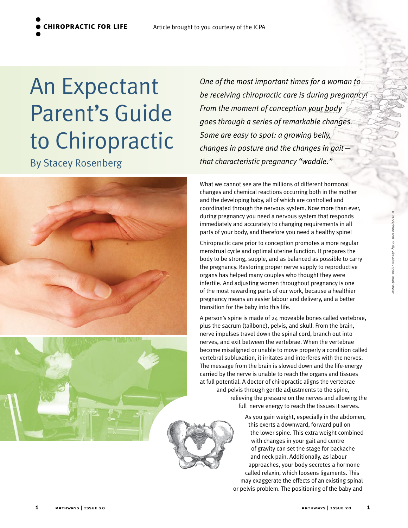**chiropractic for life**

An Expectant Parent's Guide to Chiropractic

By Stacey Rosenberg



What we cannot see are the millions of different hormonal changes and chemical reactions occurring both in the mother and the developing baby, all of which are controlled and coordinated through the nervous system. Now more than ever, during pregnancy you need a nervous system that responds immediately and accurately to changing requirements in all parts of your body, and therefore you need a healthy spine! Chiropractic care prior to conception promotes a more regular

*One of the most important times for a woman to* 

*From the moment of conception your body* 

*Some are easy to spot: a growing belly,* 

*that characteristic pregnancy "waddle."*

*goes through a series of remarkable changes.* 

*changes in posture and the changes in gait—*

*be receiving chiropractic care is during pregnancy!* 

menstrual cycle and optimal uterine function. It prepares the body to be strong, supple, and as balanced as possible to carry the pregnancy. Restoring proper nerve supply to reproductive organs has helped many couples who thought they were infertile. And adjusting women throughout pregnancy is one of the most rewarding parts of our work, because a healthier pregnancy means an easier labour and delivery, and a better transition for the baby into this life.

A person's spine is made of 24 moveable bones called vertebrae, plus the sacrum (tailbone), pelvis, and skull. From the brain, nerve impulses travel down the spinal cord, branch out into nerves, and exit between the vertebrae. When the vertebrae become misaligned or unable to move properly a condition called vertebral subluxation, it irritates and interferes with the nerves. The message from the brain is slowed down and the life-energy carried by the nerve is unable to reach the organs and tissues at full potential. A doctor of chiropractic aligns the vertebrae and pelvis through gentle adjustments to the spine, relieving the pressure on the nerves and allowing the full nerve energy to reach the tissues it serves.

> As you gain weight, especially in the abdomen, this exerts a downward, forward pull on the lower spine. This extra weight combined with changes in your gait and centre of gravity can set the stage for backache and neck pain. Additionally, as labour approaches, your body secretes a hormone called relaxin, which loosens ligaments. This may exaggerate the effects of an existing spinal or pelvis problem. The positioning of the baby and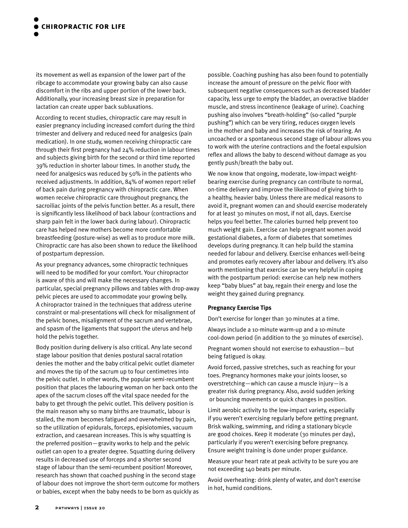its movement as well as expansion of the lower part of the ribcage to accommodate your growing baby can also cause discomfort in the ribs and upper portion of the lower back. Additionally, your increasing breast size in preparation for lactation can create upper back subluxations.

According to recent studies, chiropractic care may result in easier pregnancy including increased comfort during the third trimester and delivery and reduced need for analgesics (pain medication). In one study, women receiving chiropractic care through their first pregnancy had 24% reduction in labour times and subjects giving birth for the second or third time reported 39% reduction in shorter labour times. In another study, the need for analgesics was reduced by 50% in the patients who received adjustments. In addition, 84% of women report relief of back pain during pregnancy with chiropractic care. When women receive chiropractic care throughout pregnancy, the sacroiliac joints of the pelvis function better. As a result, there is significantly less likelihood of back labour (contractions and sharp pain felt in the lower back during labour). Chiropractic care has helped new mothers become more comfortable breastfeeding (posture-wise) as well as to produce more milk. Chiropractic care has also been shown to reduce the likelihood of postpartum depression.

As your pregnancy advances, some chiropractic techniques will need to be modified for your comfort. Your chiropractor is aware of this and will make the necessary changes. In particular, special pregnancy pillows and tables with drop-away pelvic pieces are used to accommodate your growing belly. A chiropractor trained in the techniques that address uterine constraint or mal-presentations will check for misalignment of the pelvic bones, misalignment of the sacrum and vertebrae, and spasm of the ligaments that support the uterus and help hold the pelvis together.

Body position during delivery is also critical. Any late second stage labour position that denies postural sacral rotation denies the mother and the baby critical pelvic outlet diameter and moves the tip of the sacrum up to four centimetres into the pelvic outlet. In other words, the popular semi-recumbent position that places the labouring woman on her back onto the apex of the sacrum closes off the vital space needed for the baby to get through the pelvic outlet. This delivery position is the main reason why so many births are traumatic, labour is stalled, the mom becomes fatigued and overwhelmed by pain, so the utilization of epidurals, forceps, episiotomies, vacuum extraction, and caesarean increases. This is why squatting is the preferred position—gravity works to help and the pelvic outlet can open to a greater degree. Squatting during delivery results in decreased use of forceps and a shorter second stage of labour than the semi-recumbent position! Moreover, research has shown that coached pushing in the second stage of labour does not improve the short-term outcome for mothers or babies, except when the baby needs to be born as quickly as

possible. Coaching pushing has also been found to potentially increase the amount of pressure on the pelvic floor with subsequent negative consequences such as decreased bladder capacity, less urge to empty the bladder, an overactive bladder muscle, and stress incontinence (leakage of urine). Coaching pushing also involves "breath-holding" (so-called "purple pushing") which can be very tiring, reduces oxygen levels in the mother and baby and increases the risk of tearing. An uncoached or a spontaneous second stage of labour allows you to work with the uterine contractions and the foetal expulsion reflex and allows the baby to descend without damage as you gently push/breath the baby out.

We now know that ongoing, moderate, low-impact weightbearing exercise during pregnancy can contribute to normal, on-time delivery and improve the likelihood of giving birth to a healthy, heavier baby. Unless there are medical reasons to avoid it, pregnant women can and should exercise moderately for at least 30 minutes on most, if not all, days. Exercise helps you feel better. The calories burned help prevent too much weight gain. Exercise can help pregnant women avoid gestational diabetes, a form of diabetes that sometimes develops during pregnancy. It can help build the stamina needed for labour and delivery. Exercise enhances well-being and promotes early recovery after labour and delivery. It's also worth mentioning that exercise can be very helpful in coping with the postpartum period: exercise can help new mothers keep "baby blues" at bay, regain their energy and lose the weight they gained during pregnancy.

## **Pregnancy Exercise Tips**

Don't exercise for longer than 30 minutes at a time.

Always include a 10-minute warm-up and a 10-minute cool-down period (in addition to the 30 minutes of exercise).

Pregnant women should not exercise to exhaustion—but being fatigued is okay.

Avoid forced, passive stretches, such as reaching for your toes. Pregnancy hormones make your joints looser, so overstretching—which can cause a muscle injury—is a greater risk during pregnancy. Also, avoid sudden jerking or bouncing movements or quick changes in position.

Limit aerobic activity to the low-impact variety, especially if you weren't exercising regularly before getting pregnant. Brisk walking, swimming, and riding a stationary bicycle are good choices. Keep it moderate (30 minutes per day), particularly if you weren't exercising before pregnancy. Ensure weight training is done under proper guidance.

Measure your heart rate at peak activity to be sure you are not exceeding 140 beats per minute.

Avoid overheating: drink plenty of water, and don't exercise in hot, humid conditions.